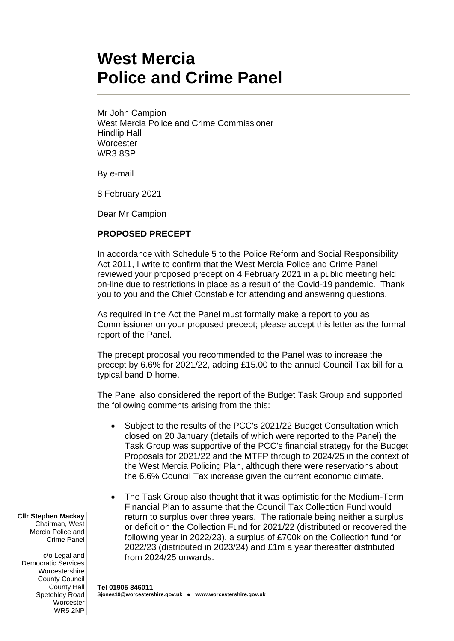## **West Mercia Police and Crime Panel**

Mr John Campion West Mercia Police and Crime Commissioner Hindlip Hall **Worcester** WR3 8SP

By e-mail

8 February 2021

Dear Mr Campion

## **PROPOSED PRECEPT**

In accordance with Schedule 5 to the Police Reform and Social Responsibility Act 2011, I write to confirm that the West Mercia Police and Crime Panel reviewed your proposed precept on 4 February 2021 in a public meeting held on-line due to restrictions in place as a result of the Covid-19 pandemic. Thank you to you and the Chief Constable for attending and answering questions.

As required in the Act the Panel must formally make a report to you as Commissioner on your proposed precept; please accept this letter as the formal report of the Panel.

The precept proposal you recommended to the Panel was to increase the precept by 6.6% for 2021/22, adding £15.00 to the annual Council Tax bill for a typical band D home.

The Panel also considered the report of the Budget Task Group and supported the following comments arising from the this:

- Subject to the results of the PCC's 2021/22 Budget Consultation which closed on 20 January (details of which were reported to the Panel) the Task Group was supportive of the PCC's financial strategy for the Budget Proposals for 2021/22 and the MTFP through to 2024/25 in the context of the West Mercia Policing Plan, although there were reservations about the 6.6% Council Tax increase given the current economic climate.
- The Task Group also thought that it was optimistic for the Medium-Term Financial Plan to assume that the Council Tax Collection Fund would return to surplus over three years. The rationale being neither a surplus or deficit on the Collection Fund for 2021/22 (distributed or recovered the following year in 2022/23), a surplus of £700k on the Collection fund for 2022/23 (distributed in 2023/24) and £1m a year thereafter distributed from 2024/25 onwards.

## **Tel 01905 846011 Sjones19@worcestershire.gov.uk** ⚫ **www.worcestershire.gov.uk**

**Cllr Stephen Mackay**

Chairman, West Mercia Police and Crime Panel

c/o Legal and Democratic Services Worcestershire County Council County Hall Spetchley Road **Worcester** WR5 2NP